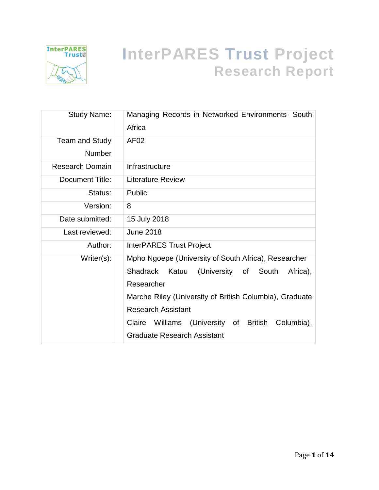

# **InterPARES Trust Project Research Report**

| <b>Study Name:</b>     | Managing Records in Networked Environments- South            |  |  |
|------------------------|--------------------------------------------------------------|--|--|
|                        | Africa                                                       |  |  |
| <b>Team and Study</b>  | AF <sub>02</sub>                                             |  |  |
| <b>Number</b>          |                                                              |  |  |
| <b>Research Domain</b> | Infrastructure                                               |  |  |
| Document Title:        | <b>Literature Review</b>                                     |  |  |
| Status:                | Public                                                       |  |  |
| Version:               | 8                                                            |  |  |
| Date submitted:        | 15 July 2018                                                 |  |  |
| Last reviewed:         | <b>June 2018</b>                                             |  |  |
| Author:                | <b>InterPARES Trust Project</b>                              |  |  |
| Writer(s):             | Mpho Ngoepe (University of South Africa), Researcher         |  |  |
|                        | <b>Shadrack</b><br>(University of South<br>Katuu<br>Africa), |  |  |
|                        | Researcher                                                   |  |  |
|                        | Marche Riley (University of British Columbia), Graduate      |  |  |
|                        | <b>Research Assistant</b>                                    |  |  |
|                        | Claire<br>Williams<br>(University of British<br>Columbia),   |  |  |
|                        | <b>Graduate Research Assistant</b>                           |  |  |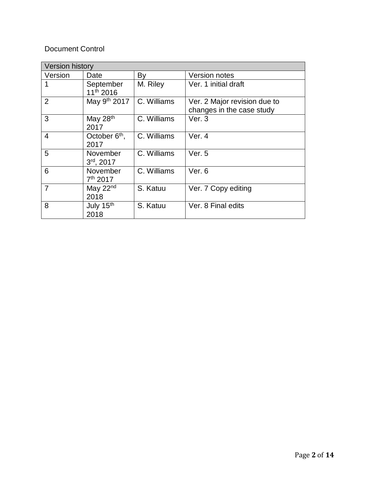# Document Control

| <b>Version history</b> |                                   |             |                                                           |
|------------------------|-----------------------------------|-------------|-----------------------------------------------------------|
| Version                | Date                              | By          | <b>Version notes</b>                                      |
|                        | September<br>11th 2016            | M. Riley    | Ver. 1 initial draft                                      |
| $\overline{2}$         | May 9 <sup>th</sup> 2017          | C. Williams | Ver. 2 Major revision due to<br>changes in the case study |
| 3                      | May 28th<br>2017                  | C. Williams | Ver. 3                                                    |
| 4                      | October 6 <sup>th</sup> ,<br>2017 | C. Williams | Ver. 4                                                    |
| 5                      | November<br>3rd, 2017             | C. Williams | Ver. 5                                                    |
| 6                      | November<br>7 <sup>th</sup> 2017  | C. Williams | Ver. 6                                                    |
| 7                      | May 22 <sup>nd</sup><br>2018      | S. Katuu    | Ver. 7 Copy editing                                       |
| 8                      | July 15th<br>2018                 | S. Katuu    | Ver. 8 Final edits                                        |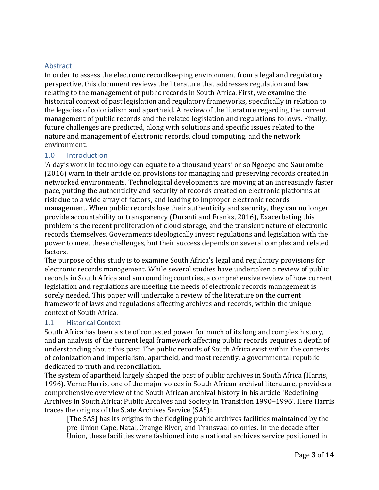## Abstract

In order to assess the electronic recordkeeping environment from a legal and regulatory perspective, this document reviews the literature that addresses regulation and law relating to the management of public records in South Africa. First, we examine the historical context of past legislation and regulatory frameworks, specifically in relation to the legacies of colonialism and apartheid. A review of the literature regarding the current management of public records and the related legislation and regulations follows. Finally, future challenges are predicted, along with solutions and specific issues related to the nature and management of electronic records, cloud computing, and the network environment.

#### 1.0 Introduction

'A day's work in technology can equate to a thousand years' or so Ngoepe and Saurombe (2016) warn in their article on provisions for managing and preserving records created in networked environments. Technological developments are moving at an increasingly faster pace, putting the authenticity and security of records created on electronic platforms at risk due to a wide array of factors, and leading to improper electronic records management. When public records lose their authenticity and security, they can no longer provide accountability or transparency (Duranti and Franks, 2016), Exacerbating this problem is the recent proliferation of cloud storage, and the transient nature of electronic records themselves. Governments ideologically invest regulations and legislation with the power to meet these challenges, but their success depends on several complex and related factors.

The purpose of this study is to examine South Africa's legal and regulatory provisions for electronic records management. While several studies have undertaken a review of public records in South Africa and surrounding countries, a comprehensive review of how current legislation and regulations are meeting the needs of electronic records management is sorely needed. This paper will undertake a review of the literature on the current framework of laws and regulations affecting archives and records, within the unique context of South Africa.

#### 1.1 Historical Context

South Africa has been a site of contested power for much of its long and complex history, and an analysis of the current legal framework affecting public records requires a depth of understanding about this past. The public records of South Africa exist within the contexts of colonization and imperialism, apartheid, and most recently, a governmental republic dedicated to truth and reconciliation.

The system of apartheid largely shaped the past of public archives in South Africa (Harris, 1996). Verne Harris, one of the major voices in South African archival literature, provides a comprehensive overview of the South African archival history in his article 'Redefining Archives in South Africa: Public Archives and Society in Transition 1990–1996'. Here Harris traces the origins of the State Archives Service (SAS):

[The SAS] has its origins in the fledgling public archives facilities maintained by the pre-Union Cape, Natal, Orange River, and Transvaal colonies. In the decade after Union, these facilities were fashioned into a national archives service positioned in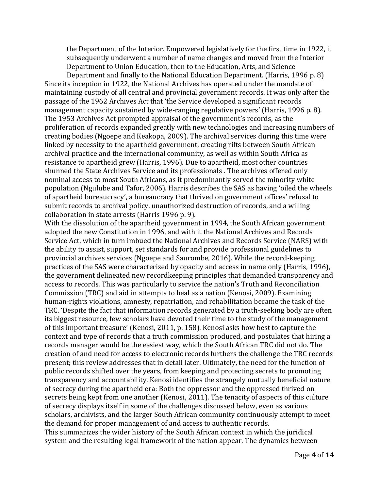the Department of the Interior. Empowered legislatively for the first time in 1922, it subsequently underwent a number of name changes and moved from the Interior Department to Union Education, then to the Education, Arts, and Science

Department and finally to the National Education Department. (Harris, 1996 p. 8) Since its inception in 1922, the National Archives has operated under the mandate of maintaining custody of all central and provincial government records. It was only after the passage of the 1962 Archives Act that 'the Service developed a significant records management capacity sustained by wide-ranging regulative powers' (Harris, 1996 p. 8). The 1953 Archives Act prompted appraisal of the government's records, as the proliferation of records expanded greatly with new technologies and increasing numbers of creating bodies (Ngoepe and Keakopa, 2009). The archival services during this time were linked by necessity to the apartheid government, creating rifts between South African archival practice and the international community, as well as within South Africa as resistance to apartheid grew (Harris, 1996). Due to apartheid, most other countries shunned the State Archives Service and its professionals . The archives offered only nominal access to most South Africans, as it predominantly served the minority white population (Ngulube and Tafor, 2006). Harris describes the SAS as having 'oiled the wheels of apartheid bureaucracy', a bureaucracy that thrived on government offices' refusal to submit records to archival policy, unauthorized destruction of records, and a willing collaboration in state arrests (Harris 1996 p. 9).

With the dissolution of the apartheid government in 1994, the South African government adopted the new Constitution in 1996, and with it the National Archives and Records Service Act, which in turn imbued the National Archives and Records Service (NARS) with the ability to assist, support, set standards for and provide professional guidelines to provincial archives services (Ngoepe and Saurombe, 2016). While the record-keeping practices of the SAS were characterized by opacity and access in name only (Harris, 1996), the government delineated new recordkeeping principles that demanded transparency and access to records. This was particularly to service the nation's Truth and Reconciliation Commission (TRC) and aid in attempts to heal as a nation (Kenosi, 2009). Examining human-rights violations, amnesty, repatriation, and rehabilitation became the task of the TRC. 'Despite the fact that information records generated by a truth-seeking body are often its biggest resource, few scholars have devoted their time to the study of the management of this important treasure' (Kenosi, 2011, p. 158). Kenosi asks how best to capture the context and type of records that a truth commission produced, and postulates that hiring a records manager would be the easiest way, which the South African TRC did not do. The creation of and need for access to electronic records furthers the challenge the TRC records present; this review addresses that in detail later. Ultimately, the need for the function of public records shifted over the years, from keeping and protecting secrets to promoting transparency and accountability. Kenosi identifies the strangely mutually beneficial nature of secrecy during the apartheid era: Both the oppressor and the oppressed thrived on secrets being kept from one another (Kenosi, 2011). The tenacity of aspects of this culture of secrecy displays itself in some of the challenges discussed below, even as various scholars, archivists, and the larger South African community continuously attempt to meet the demand for proper management of and access to authentic records.

This summarizes the wider history of the South African context in which the juridical system and the resulting legal framework of the nation appear. The dynamics between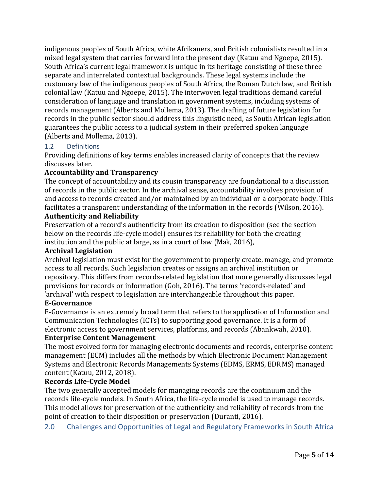indigenous peoples of South Africa, white Afrikaners, and British colonialists resulted in a mixed legal system that carries forward into the present day (Katuu and Ngoepe, 2015). South Africa's current legal framework is unique in its heritage consisting of these three separate and interrelated contextual backgrounds. These legal systems include the customary law of the indigenous peoples of South Africa, the Roman Dutch law, and British colonial law (Katuu and Ngoepe, 2015). The interwoven legal traditions demand careful consideration of language and translation in government systems, including systems of records management (Alberts and Mollema, 2013). The drafting of future legislation for records in the public sector should address this linguistic need, as South African legislation guarantees the public access to a judicial system in their preferred spoken language (Alberts and Mollema, 2013).

# 1.2 Definitions

Providing definitions of key terms enables increased clarity of concepts that the review discusses later.

#### **Accountability and Transparency**

The concept of accountability and its cousin transparency are foundational to a discussion of records in the public sector. In the archival sense, accountability involves provision of and access to records created and/or maintained by an individual or a corporate body. This facilitates a transparent understanding of the information in the records (Wilson, 2016).

# **Authenticity and Reliability**

Preservation of a record's authenticity from its creation to disposition (see the section below on the records life-cycle model) ensures its reliability for both the creating institution and the public at large, as in a court of law (Mak, 2016),

#### **Archival Legislation**

Archival legislation must exist for the government to properly create, manage, and promote access to all records. Such legislation creates or assigns an archival institution or repository. This differs from records-related legislation that more generally discusses legal provisions for records or information (Goh, 2016). The terms 'records-related' and 'archival' with respect to legislation are interchangeable throughout this paper.

#### **E-Governance**

E-Governance is an extremely broad term that refers to the application of Information and Communication Technologies (ICTs) to supporting good governance. It is a form of electronic access to government services, platforms, and records (Abankwah, 2010).

#### **Enterprise Content Management**

The most evolved form for managing electronic documents and records**,** enterprise content management (ECM) includes all the methods by which Electronic Document Management Systems and Electronic Records Managements Systems (EDMS, ERMS, EDRMS) managed content (Katuu, 2012, 2018).

#### **Records Life-Cycle Model**

The two generally accepted models for managing records are the continuum and the records life-cycle models. In South Africa, the life-cycle model is used to manage records. This model allows for preservation of the authenticity and reliability of records from the point of creation to their disposition or preservation (Duranti, 2016).

2.0 Challenges and Opportunities of Legal and Regulatory Frameworks in South Africa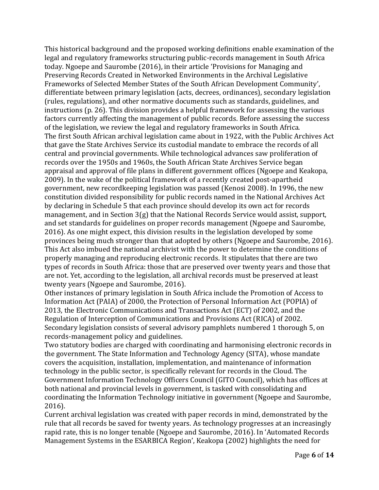This historical background and the proposed working definitions enable examination of the legal and regulatory frameworks structuring public-records management in South Africa today. Ngoepe and Saurombe (2016), in their article 'Provisions for Managing and Preserving Records Created in Networked Environments in the Archival Legislative Frameworks of Selected Member States of the South African Development Community', differentiate between primary legislation (acts, decrees, ordinances), secondary legislation (rules, regulations), and other normative documents such as standards, guidelines, and instructions (p. 26). This division provides a helpful framework for assessing the various factors currently affecting the management of public records. Before assessing the success of the legislation, we review the legal and regulatory frameworks in South Africa. The first South African archival legislation came about in 1922, with the Public Archives Act that gave the State Archives Service its custodial mandate to embrace the records of all central and provincial governments. While technological advances saw proliferation of records over the 1950s and 1960s, the South African State Archives Service began appraisal and approval of file plans in different government offices (Ngoepe and Keakopa, 2009). In the wake of the political framework of a recently created post-apartheid government, new recordkeeping legislation was passed (Kenosi 2008). In 1996, the new constitution divided responsibility for public records named in the National Archives Act by declaring in Schedule 5 that each province should develop its own act for records management, and in Section 3(g) that the National Records Service would assist, support, and set standards for guidelines on proper records management (Ngoepe and Saurombe, 2016). As one might expect, this division results in the legislation developed by some provinces being much stronger than that adopted by others (Ngoepe and Saurombe, 2016). This Act also imbued the national archivist with the power to determine the conditions of properly managing and reproducing electronic records. It stipulates that there are two types of records in South Africa: those that are preserved over twenty years and those that are not. Yet, according to the legislation, all archival records must be preserved at least twenty years (Ngoepe and Saurombe, 2016).

Other instances of primary legislation in South Africa include the Promotion of Access to Information Act (PAIA) of 2000, the Protection of Personal Information Act (POPIA) of 2013, the Electronic Communications and Transactions Act (ECT) of 2002, and the Regulation of Interception of Communications and Provisions Act (RICA) of 2002. Secondary legislation consists of several advisory pamphlets numbered 1 thorough 5, on records-management policy and guidelines.

Two statutory bodies are charged with coordinating and harmonising electronic records in the government. The State Information and Technology Agency (SITA), whose mandate covers the acquisition, installation, implementation, and maintenance of information technology in the public sector, is specifically relevant for records in the Cloud. The Government Information Technology Officers Council (GITO Council), which has offices at both national and provincial levels in government, is tasked with consolidating and coordinating the Information Technology initiative in government (Ngoepe and Saurombe, 2016).

Current archival legislation was created with paper records in mind, demonstrated by the rule that all records be saved for twenty years. As technology progresses at an increasingly rapid rate, this is no longer tenable (Ngoepe and Saurombe, 2016). In 'Automated Records Management Systems in the ESARBICA Region', Keakopa (2002) highlights the need for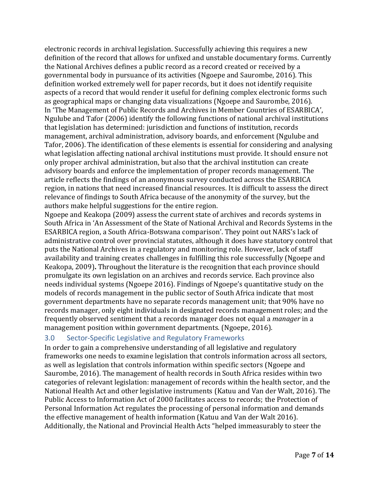electronic records in archival legislation. Successfully achieving this requires a new definition of the record that allows for unfixed and unstable documentary forms. Currently the National Archives defines a public record as a record created or received by a governmental body in pursuance of its activities (Ngoepe and Saurombe, 2016). This definition worked extremely well for paper records, but it does not identify requisite aspects of a record that would render it useful for defining complex electronic forms such as geographical maps or changing data visualizations (Ngoepe and Saurombe, 2016). In 'The Management of Public Records and Archives in Member Countries of ESARBICA', Ngulube and Tafor (2006) identify the following functions of national archival institutions that legislation has determined: jurisdiction and functions of institution, records management, archival administration, advisory boards, and enforcement (Ngulube and Tafor, 2006). The identification of these elements is essential for considering and analysing what legislation affecting national archival institutions must provide. It should ensure not only proper archival administration, but also that the archival institution can create advisory boards and enforce the implementation of proper records management. The article reflects the findings of an anonymous survey conducted across the ESARBICA region, in nations that need increased financial resources. It is difficult to assess the direct relevance of findings to South Africa because of the anonymity of the survey, but the authors make helpful suggestions for the entire region.

Ngoepe and Keakopa (2009) assess the current state of archives and records systems in South Africa in 'An Assessment of the State of National Archival and Records Systems in the ESARBICA region, a South Africa-Botswana comparison'. They point out NARS's lack of administrative control over provincial statutes, although it does have statutory control that puts the National Archives in a regulatory and monitoring role. However, lack of staff availability and training creates challenges in fulfilling this role successfully (Ngoepe and Keakopa, 2009)**.** Throughout the literature is the recognition that each province should promulgate its own legislation on an archives and records service. Each province also needs individual systems (Ngoepe 2016). Findings of Ngoepe's quantitative study on the models of records management in the public sector of South Africa indicate that most government departments have no separate records management unit; that 90% have no records manager, only eight individuals in designated records management roles; and the frequently observed sentiment that a records manager does not equal a *manager* in a management position within government departments. (Ngoepe, 2016).

#### 3.0 Sector-Specific Legislative and Regulatory Frameworks

In order to gain a comprehensive understanding of all legislative and regulatory frameworks one needs to examine legislation that controls information across all sectors, as well as legislation that controls information within specific sectors (Ngoepe and Saurombe, 2016). The management of health records in South Africa resides within two categories of relevant legislation: management of records within the health sector, and the National Health Act and other legislative instruments (Katuu and Van der Walt, 2016). The Public Access to Information Act of 2000 facilitates access to records; the Protection of Personal Information Act regulates the processing of personal information and demands the effective management of health information (Katuu and Van der Walt 2016). Additionally, the National and Provincial Health Acts "helped immeasurably to steer the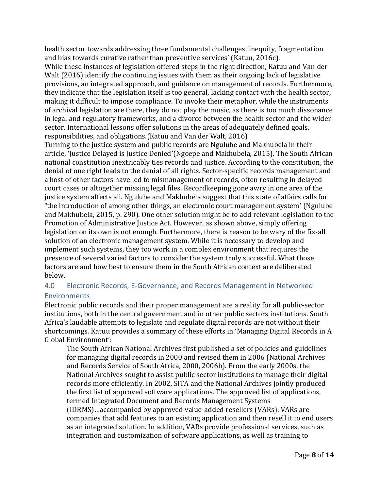health sector towards addressing three fundamental challenges: inequity, fragmentation and bias towards curative rather than preventive services' (Katuu, 2016c).

While these instances of legislation offered steps in the right direction, Katuu and Van der Walt (2016) identify the continuing issues with them as their ongoing lack of legislative provisions, an integrated approach, and guidance on management of records. Furthermore, they indicate that the legislation itself is too general, lacking contact with the health sector, making it difficult to impose compliance. To invoke their metaphor, while the instruments of archival legislation are there, they do not play the music, as there is too much dissonance in legal and regulatory frameworks, and a divorce between the health sector and the wider sector. International lessons offer solutions in the areas of adequately defined goals, responsibilities, and obligations.(Katuu and Van der Walt, 2016)

Turning to the justice system and public records are Ngulube and Makhubela in their article, 'Justice Delayed is Justice Denied'(Ngoepe and Makhubela, 2015). The South African national constitution inextricably ties records and justice. According to the constitution, the denial of one right leads to the denial of all rights. Sector-specific records management and a host of other factors have led to mismanagement of records, often resulting in delayed court cases or altogether missing legal files. Recordkeeping gone awry in one area of the justice system affects all. Ngulube and Makhubela suggest that this state of affairs calls for "the introduction of among other things, an electronic court management system' (Ngulube and Makhubela, 2015, p. 290). One other solution might be to add relevant legislation to the Promotion of Administrative Justice Act. However, as shown above, simply offering legislation on its own is not enough. Furthermore, there is reason to be wary of the fix-all solution of an electronic management system. While it is necessary to develop and implement such systems, they too work in a complex environment that requires the presence of several varied factors to consider the system truly successful. What those factors are and how best to ensure them in the South African context are deliberated below.

# 4.0 Electronic Records, E-Governance, and Records Management in Networked Environments

Electronic public records and their proper management are a reality for all public-sector institutions, both in the central government and in other public sectors institutions. South Africa's laudable attempts to legislate and regulate digital records are not without their shortcomings. Katuu provides a summary of these efforts in 'Managing Digital Records in A Global Environment':

The South African National Archives first published a set of policies and guidelines for managing digital records in 2000 and revised them in 2006 (National Archives and Records Service of South Africa, 2000, 2006b). From the early 2000s, the National Archives sought to assist public sector institutions to manage their digital records more efficiently. In 2002, SITA and the National Archives jointly produced the first list of approved software applications. The approved list of applications, termed Integrated Document and Records Management Systems (IDRMS)…accompanied by approved value-added resellers (VARs). VARs are companies that add features to an existing application and then resell it to end users as an integrated solution. In addition, VARs provide professional services, such as integration and customization of software applications, as well as training to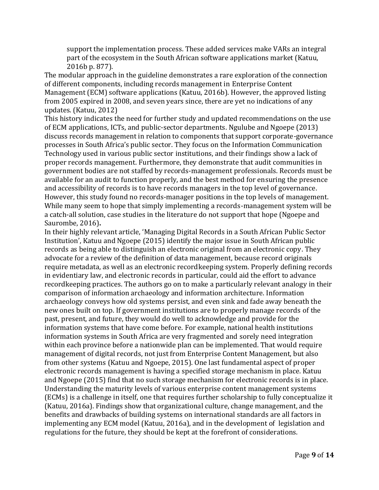support the implementation process. These added services make VARs an integral part of the ecosystem in the South African software applications market (Katuu, 2016b p. 877).

The modular approach in the guideline demonstrates a rare exploration of the connection of different components, including records management in Enterprise Content Management (ECM) software applications (Katuu, 2016b). However, the approved listing from 2005 expired in 2008, and seven years since, there are yet no indications of any updates. (Katuu, 2012)

This history indicates the need for further study and updated recommendations on the use of ECM applications, ICTs, and public-sector departments. Ngulube and Ngoepe (2013) discuss records management in relation to components that support corporate-governance processes in South Africa's public sector. They focus on the Information Communication Technology used in various public sector institutions, and their findings show a lack of proper records management. Furthermore, they demonstrate that audit communities in government bodies are not staffed by records-management professionals. Records must be available for an audit to function properly, and the best method for ensuring the presence and accessibility of records is to have records managers in the top level of governance. However, this study found no records-manager positions in the top levels of management. While many seem to hope that simply implementing a records-management system will be a catch-all solution, case studies in the literature do not support that hope (Ngoepe and Saurombe, 2016)**.** 

In their highly relevant article, 'Managing Digital Records in a South African Public Sector Institution', Katuu and Ngoepe (2015) identify the major issue in South African public records as being able to distinguish an electronic original from an electronic copy. They advocate for a review of the definition of data management, because record originals require metadata, as well as an electronic recordkeeping system. Properly defining records in evidentiary law, and electronic records in particular, could aid the effort to advance recordkeeping practices. The authors go on to make a particularly relevant analogy in their comparison of information archaeology and information architecture. Information archaeology conveys how old systems persist, and even sink and fade away beneath the new ones built on top. If government institutions are to properly manage records of the past, present, and future, they would do well to acknowledge and provide for the information systems that have come before. For example, national health institutions information systems in South Africa are very fragmented and sorely need integration within each province before a nationwide plan can be implemented. That would require management of digital records, not just from Enterprise Content Management, but also from other systems (Katuu and Ngoepe, 2015). One last fundamental aspect of proper electronic records management is having a specified storage mechanism in place. Katuu and Ngoepe (2015) find that no such storage mechanism for electronic records is in place. Understanding the maturity levels of various enterprise content management systems (ECMs) is a challenge in itself, one that requires further scholarship to fully conceptualize it (Katuu, 2016a). Findings show that organizational culture, change management, and the benefits and drawbacks of building systems on international standards are all factors in implementing any ECM model (Katuu, 2016a), and in the development of legislation and regulations for the future, they should be kept at the forefront of considerations.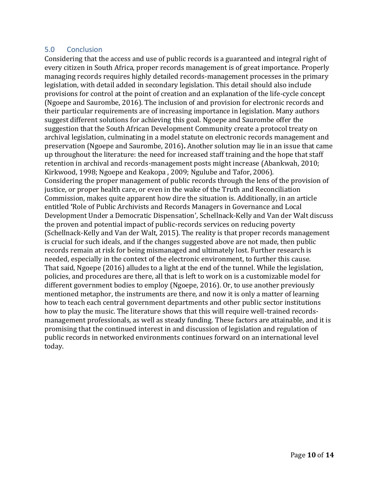#### 5.0 Conclusion

Considering that the access and use of public records is a guaranteed and integral right of every citizen in South Africa, proper records management is of great importance. Properly managing records requires highly detailed records-management processes in the primary legislation, with detail added in secondary legislation. This detail should also include provisions for control at the point of creation and an explanation of the life-cycle concept (Ngoepe and Saurombe, 2016). The inclusion of and provision for electronic records and their particular requirements are of increasing importance in legislation. Many authors suggest different solutions for achieving this goal. Ngoepe and Saurombe offer the suggestion that the South African Development Community create a protocol treaty on archival legislation, culminating in a model statute on electronic records management and preservation (Ngoepe and Saurombe, 2016)**.** Another solution may lie in an issue that came up throughout the literature: the need for increased staff training and the hope that staff retention in archival and records-management posts might increase (Abankwah, 2010; Kirkwood, 1998; Ngoepe and Keakopa , 2009; Ngulube and Tafor, 2006). Considering the proper management of public records through the lens of the provision of justice, or proper health care, or even in the wake of the Truth and Reconciliation Commission, makes quite apparent how dire the situation is. Additionally, in an article entitled **'**Role of Public Archivists and Records Managers in Governance and Local Development Under a Democratic Dispensation', Schellnack-Kelly and Van der Walt discuss the proven and potential impact of public-records services on reducing poverty (Schellnack-Kelly and Van der Walt, 2015). The reality is that proper records management is crucial for such ideals, and if the changes suggested above are not made, then public records remain at risk for being mismanaged and ultimately lost. Further research is needed, especially in the context of the electronic environment, to further this cause. That said, Ngoepe (2016) alludes to a light at the end of the tunnel. While the legislation, policies, and procedures are there, all that is left to work on is a customizable model for different government bodies to employ (Ngoepe, 2016). Or, to use another previously mentioned metaphor, the instruments are there, and now it is only a matter of learning how to teach each central government departments and other public sector institutions how to play the music. The literature shows that this will require well-trained recordsmanagement professionals, as well as steady funding. These factors are attainable, and it is promising that the continued interest in and discussion of legislation and regulation of public records in networked environments continues forward on an international level today.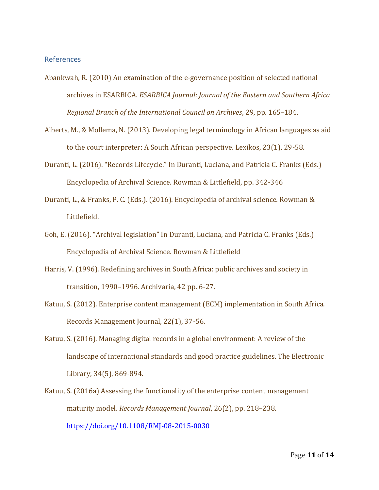References

- Abankwah, R. (2010) An examination of the e-governance position of selected national archives in ESARBICA. *ESARBICA Journal: Journal of the Eastern and Southern Africa Regional Branch of the International Council on Archives*, 29, pp. 165–184.
- Alberts, M., & Mollema, N. (2013). Developing legal terminology in African languages as aid to the court interpreter: A South African perspective. Lexikos, 23(1), 29-58.
- Duranti, L. (2016). "Records Lifecycle." In Duranti, Luciana, and Patricia C. Franks (Eds.) Encyclopedia of Archival Science. Rowman & Littlefield, pp. 342-346
- Duranti, L., & Franks, P. C. (Eds.). (2016). Encyclopedia of archival science. Rowman & Littlefield.
- Goh, E. (2016). "Archival legislation" In Duranti, Luciana, and Patricia C. Franks (Eds.) Encyclopedia of Archival Science. Rowman & Littlefield
- Harris, V. (1996). Redefining archives in South Africa: public archives and society in transition, 1990–1996. Archivaria, 42 pp. 6-27.
- Katuu, S. (2012). Enterprise content management (ECM) implementation in South Africa. Records Management Journal, 22(1), 37-56.
- Katuu, S. (2016). Managing digital records in a global environment: A review of the landscape of international standards and good practice guidelines. The Electronic Library, 34(5), 869-894.
- Katuu, S. (2016a) Assessing the functionality of the enterprise content management maturity model. *Records Management Journal*, 26(2), pp. 218–238. <https://doi.org/10.1108/RMJ-08-2015-0030>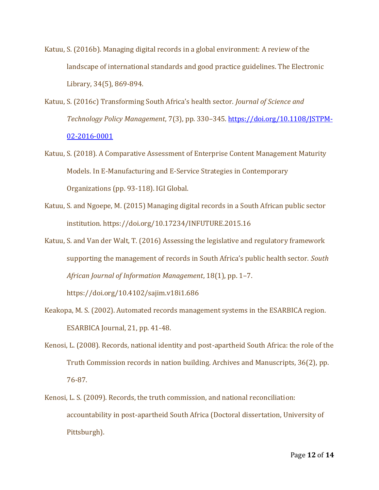- Katuu, S. (2016b). Managing digital records in a global environment: A review of the landscape of international standards and good practice guidelines. The Electronic Library, 34(5), 869-894.
- Katuu, S. (2016c) Transforming South Africa's health sector. *Journal of Science and Technology Policy Management*, 7(3), pp. 330–345[. https://doi.org/10.1108/JSTPM-](https://doi.org/10.1108/JSTPM-02-2016-0001)[02-2016-0001](https://doi.org/10.1108/JSTPM-02-2016-0001)
- Katuu, S. (2018). A Comparative Assessment of Enterprise Content Management Maturity Models. In E-Manufacturing and E-Service Strategies in Contemporary Organizations (pp. 93-118). IGI Global.
- Katuu, S. and Ngoepe, M. (2015) Managing digital records in a South African public sector institution. https://doi.org/10.17234/INFUTURE.2015.16
- Katuu, S. and Van der Walt, T. (2016) Assessing the legislative and regulatory framework supporting the management of records in South Africa's public health sector. *South African Journal of Information Management*, 18(1), pp. 1–7. https://doi.org/10.4102/sajim.v18i1.686
- Keakopa, M. S. (2002). Automated records management systems in the ESARBICA region. ESARBICA Journal, 21, pp. 41-48.
- Kenosi, L. (2008). Records, national identity and post-apartheid South Africa: the role of the Truth Commission records in nation building. Archives and Manuscripts, 36(2), pp. 76-87.
- Kenosi, L. S. (2009). Records, the truth commission, and national reconciliation: accountability in post-apartheid South Africa (Doctoral dissertation, University of Pittsburgh).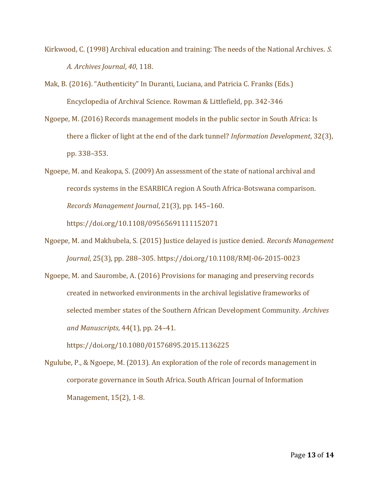- Kirkwood, C. (1998) Archival education and training: The needs of the National Archives. *S. A. Archives Journal*, *40*, 118.
- Mak, B. (2016). "Authenticity" In Duranti, Luciana, and Patricia C. Franks (Eds.) Encyclopedia of Archival Science. Rowman & Littlefield, pp. 342-346
- Ngoepe, M. (2016) Records management models in the public sector in South Africa: Is there a flicker of light at the end of the dark tunnel? *Information Development*, 32(3), pp. 338–353.
- Ngoepe, M. and Keakopa, S. (2009) An assessment of the state of national archival and records systems in the ESARBICA region A South Africa-Botswana comparison. *Records Management Journal*, 21(3), pp. 145–160. https://doi.org/10.1108/09565691111152071
- Ngoepe, M. and Makhubela, S. (2015) Justice delayed is justice denied. *Records Management Journal*, 25(3), pp. 288–305. https://doi.org/10.1108/RMJ-06-2015-0023
- Ngoepe, M. and Saurombe, A. (2016) Provisions for managing and preserving records created in networked environments in the archival legislative frameworks of selected member states of the Southern African Development Community. *Archives and Manuscripts*, 44(1), pp. 24–41.

https://doi.org/10.1080/01576895.2015.1136225

Ngulube, P., & Ngoepe, M. (2013). An exploration of the role of records management in corporate governance in South Africa. South African Journal of Information Management, 15(2), 1-8.